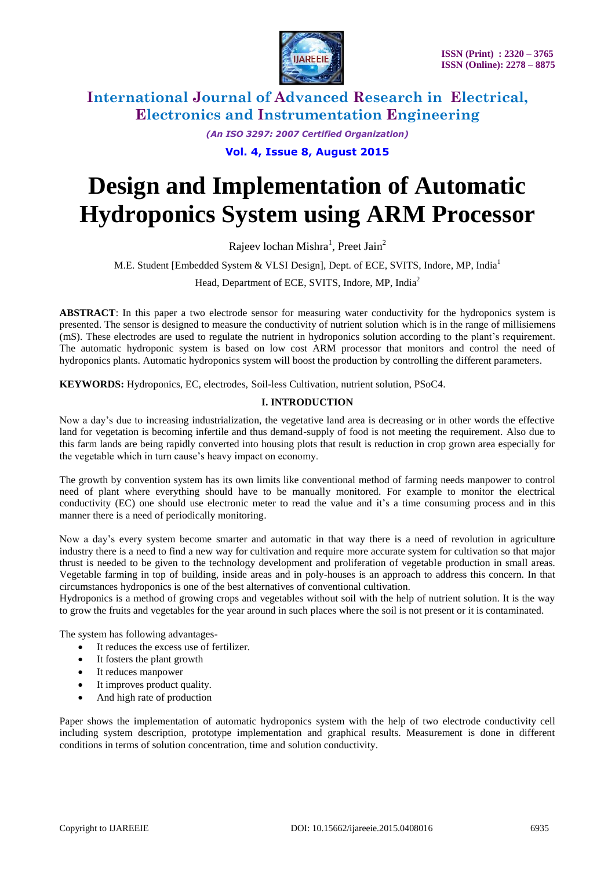

*(An ISO 3297: 2007 Certified Organization)* **Vol. 4, Issue 8, August 2015**

# **Design and Implementation of Automatic Hydroponics System using ARM Processor**

Rajeev lochan Mishra<sup>1</sup>, Preet Jain<sup>2</sup>

M.E. Student [Embedded System & VLSI Design], Dept. of ECE, SVITS, Indore, MP, India<sup>1</sup>

Head, Department of ECE, SVITS, Indore, MP, India<sup>2</sup>

**ABSTRACT**: In this paper a two electrode sensor for measuring water conductivity for the hydroponics system is presented. The sensor is designed to measure the conductivity of nutrient solution which is in the range of millisiemens (mS). These electrodes are used to regulate the nutrient in hydroponics solution according to the plant's requirement. The automatic hydroponic system is based on low cost ARM processor that monitors and control the need of hydroponics plants. Automatic hydroponics system will boost the production by controlling the different parameters.

**KEYWORDS:** Hydroponics, EC, electrodes, Soil-less Cultivation, nutrient solution, PSoC4.

### **I. INTRODUCTION**

Now a day's due to increasing industrialization, the vegetative land area is decreasing or in other words the effective land for vegetation is becoming infertile and thus demand-supply of food is not meeting the requirement. Also due to this farm lands are being rapidly converted into housing plots that result is reduction in crop grown area especially for the vegetable which in turn cause's heavy impact on economy.

The growth by convention system has its own limits like conventional method of farming needs manpower to control need of plant where everything should have to be manually monitored. For example to monitor the electrical conductivity (EC) one should use electronic meter to read the value and it's a time consuming process and in this manner there is a need of periodically monitoring.

Now a day's every system become smarter and automatic in that way there is a need of revolution in agriculture industry there is a need to find a new way for cultivation and require more accurate system for cultivation so that major thrust is needed to be given to the technology development and proliferation of vegetable production in small areas. Vegetable farming in top of building, inside areas and in poly-houses is an approach to address this concern. In that circumstances hydroponics is one of the best alternatives of conventional cultivation.

Hydroponics is a method of growing crops and vegetables without soil with the help of nutrient solution. It is the way to grow the fruits and vegetables for the year around in such places where the soil is not present or it is contaminated.

The system has following advantages-

- It reduces the excess use of fertilizer.
- It fosters the plant growth
- It reduces manpower
- It improves product quality.
- And high rate of production

Paper shows the implementation of automatic hydroponics system with the help of two electrode conductivity cell including system description, prototype implementation and graphical results. Measurement is done in different conditions in terms of solution concentration, time and solution conductivity.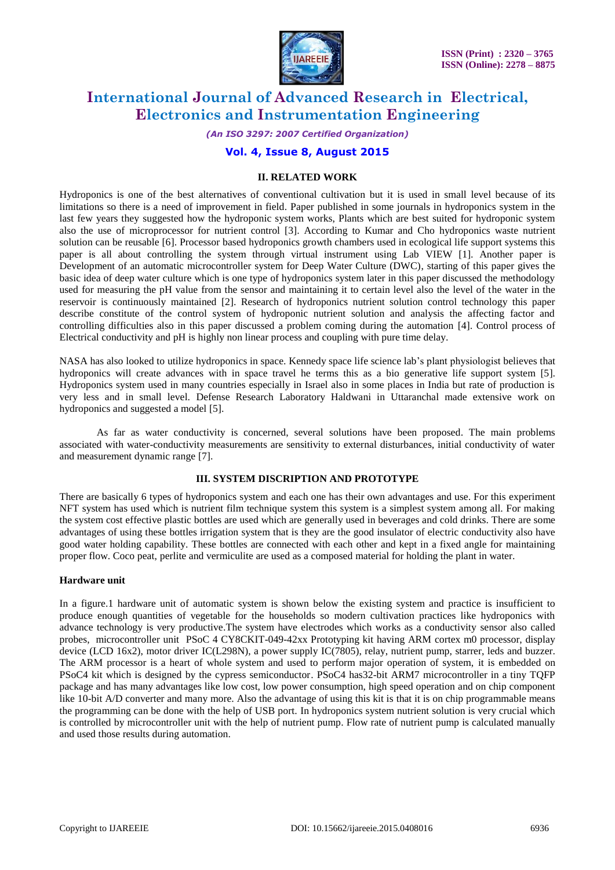

*(An ISO 3297: 2007 Certified Organization)*

### **Vol. 4, Issue 8, August 2015**

#### **II. RELATED WORK**

Hydroponics is one of the best alternatives of conventional cultivation but it is used in small level because of its limitations so there is a need of improvement in field. Paper published in some journals in hydroponics system in the last few years they suggested how the hydroponic system works, Plants which are best suited for hydroponic system also the use of microprocessor for nutrient control [3]. According to Kumar and Cho hydroponics waste nutrient solution can be reusable [6]. Processor based hydroponics growth chambers used in ecological life support systems this paper is all about controlling the system through virtual instrument using Lab VIEW [1]. Another paper is Development of an automatic microcontroller system for Deep Water Culture (DWC), starting of this paper gives the basic idea of deep water culture which is one type of hydroponics system later in this paper discussed the methodology used for measuring the pH value from the sensor and maintaining it to certain level also the level of the water in the reservoir is continuously maintained [2]. Research of hydroponics nutrient solution control technology this paper describe constitute of the control system of hydroponic nutrient solution and analysis the affecting factor and controlling difficulties also in this paper discussed a problem coming during the automation [4]. Control process of Electrical conductivity and pH is highly non linear process and coupling with pure time delay.

NASA has also looked to utilize hydroponics in space. Kennedy space life science lab's plant physiologist believes that hydroponics will create advances with in space travel he terms this as a bio generative life support system [5]. Hydroponics system used in many countries especially in Israel also in some places in India but rate of production is very less and in small level. Defense Research Laboratory Haldwani in Uttaranchal made extensive work on hydroponics and suggested a model [5].

As far as water conductivity is concerned, several solutions have been proposed. The main problems associated with water-conductivity measurements are sensitivity to external disturbances, initial conductivity of water and measurement dynamic range [7].

### **III. SYSTEM DISCRIPTION AND PROTOTYPE**

There are basically 6 types of hydroponics system and each one has their own advantages and use. For this experiment NFT system has used which is nutrient film technique system this system is a simplest system among all. For making the system cost effective plastic bottles are used which are generally used in beverages and cold drinks. There are some advantages of using these bottles irrigation system that is they are the good insulator of electric conductivity also have good water holding capability. These bottles are connected with each other and kept in a fixed angle for maintaining proper flow. Coco peat, perlite and vermiculite are used as a composed material for holding the plant in water.

#### **Hardware unit**

In a figure.1 hardware unit of automatic system is shown below the existing system and practice is insufficient to produce enough quantities of vegetable for the households so modern cultivation practices like hydroponics with advance technology is very productive.The system have electrodes which works as a conductivity sensor also called probes, microcontroller unit PSoC 4 CY8CKIT-049-42xx Prototyping kit having ARM cortex m0 processor, display device (LCD 16x2), motor driver IC(L298N), a power supply IC(7805), relay, nutrient pump, starrer, leds and buzzer. The ARM processor is a heart of whole system and used to perform major operation of system, it is embedded on PSoC4 kit which is designed by the cypress semiconductor. PSoC4 has32-bit ARM7 microcontroller in a tiny TQFP package and has many advantages like low cost, low power consumption, high speed operation and on chip component like 10-bit A/D converter and many more. Also the advantage of using this kit is that it is on chip programmable means the programming can be done with the help of USB port. In hydroponics system nutrient solution is very crucial which is controlled by microcontroller unit with the help of nutrient pump. Flow rate of nutrient pump is calculated manually and used those results during automation.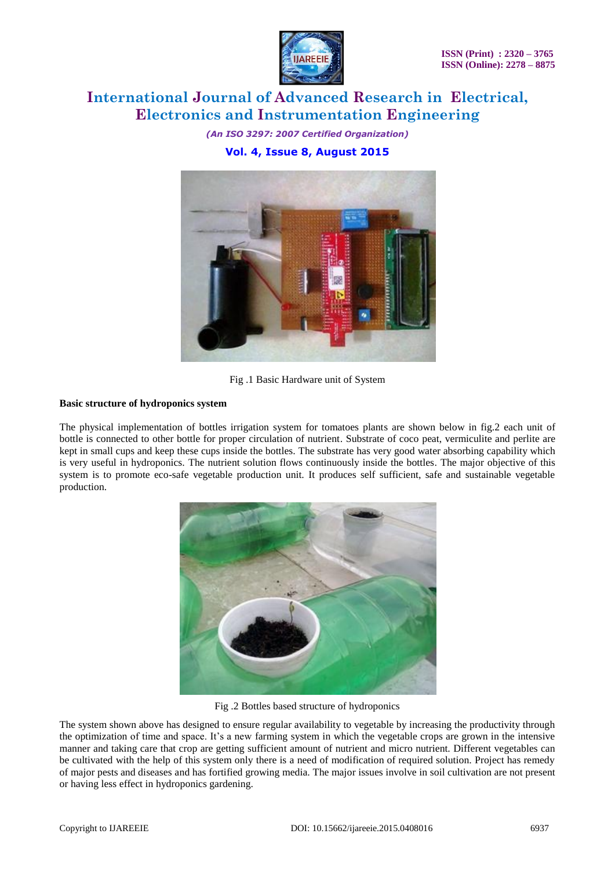

*(An ISO 3297: 2007 Certified Organization)* **Vol. 4, Issue 8, August 2015**



Fig .1 Basic Hardware unit of System

### **Basic structure of hydroponics system**

The physical implementation of bottles irrigation system for tomatoes plants are shown below in fig.2 each unit of bottle is connected to other bottle for proper circulation of nutrient. Substrate of coco peat, vermiculite and perlite are kept in small cups and keep these cups inside the bottles. The substrate has very good water absorbing capability which is very useful in hydroponics. The nutrient solution flows continuously inside the bottles. The major objective of this system is to promote eco-safe vegetable production unit. It produces self sufficient, safe and sustainable vegetable production.



Fig .2 Bottles based structure of hydroponics

The system shown above has designed to ensure regular availability to vegetable by increasing the productivity through the optimization of time and space. It's a new farming system in which the vegetable crops are grown in the intensive manner and taking care that crop are getting sufficient amount of nutrient and micro nutrient. Different vegetables can be cultivated with the help of this system only there is a need of modification of required solution. Project has remedy of major pests and diseases and has fortified growing media. The major issues involve in soil cultivation are not present or having less effect in hydroponics gardening.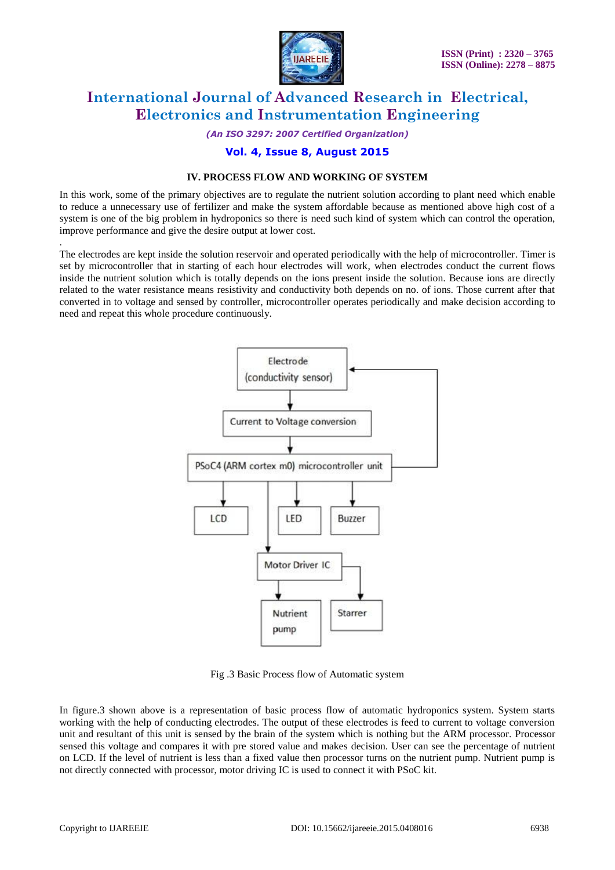

*(An ISO 3297: 2007 Certified Organization)*

### **Vol. 4, Issue 8, August 2015**

### **IV. PROCESS FLOW AND WORKING OF SYSTEM**

In this work, some of the primary objectives are to regulate the nutrient solution according to plant need which enable to reduce a unnecessary use of fertilizer and make the system affordable because as mentioned above high cost of a system is one of the big problem in hydroponics so there is need such kind of system which can control the operation, improve performance and give the desire output at lower cost.

The electrodes are kept inside the solution reservoir and operated periodically with the help of microcontroller. Timer is set by microcontroller that in starting of each hour electrodes will work, when electrodes conduct the current flows inside the nutrient solution which is totally depends on the ions present inside the solution. Because ions are directly related to the water resistance means resistivity and conductivity both depends on no. of ions. Those current after that converted in to voltage and sensed by controller, microcontroller operates periodically and make decision according to need and repeat this whole procedure continuously.



Fig .3 Basic Process flow of Automatic system

In figure.3 shown above is a representation of basic process flow of automatic hydroponics system. System starts working with the help of conducting electrodes. The output of these electrodes is feed to current to voltage conversion unit and resultant of this unit is sensed by the brain of the system which is nothing but the ARM processor. Processor sensed this voltage and compares it with pre stored value and makes decision. User can see the percentage of nutrient on LCD. If the level of nutrient is less than a fixed value then processor turns on the nutrient pump. Nutrient pump is not directly connected with processor, motor driving IC is used to connect it with PSoC kit.

.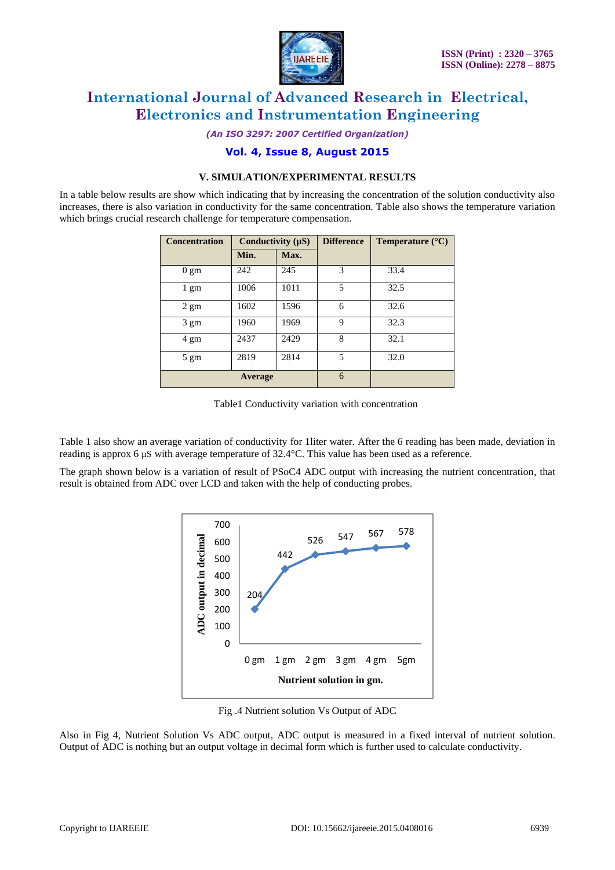

*(An ISO 3297: 2007 Certified Organization)*

### **Vol. 4, Issue 8, August 2015**

### **V. SIMULATION/EXPERIMENTAL RESULTS**

In a table below results are show which indicating that by increasing the concentration of the solution conductivity also increases, there is also variation in conductivity for the same concentration. Table also shows the temperature variation which brings crucial research challenge for temperature compensation.

| <b>Concentration</b> | Conductivity $(\mu S)$ |      | <b>Difference</b> | <b>Temperature</b> $(^{\circ}C)$ |
|----------------------|------------------------|------|-------------------|----------------------------------|
|                      | Min.                   | Max. |                   |                                  |
| $0 \text{ gm}$       | 242                    | 245  | 3                 | 33.4                             |
| $1 \text{ gm}$       | 1006                   | 1011 | 5                 | 32.5                             |
| $2 \text{ gm}$       | 1602                   | 1596 | 6                 | 32.6                             |
| $3 \text{ gm}$       | 1960                   | 1969 | 9                 | 32.3                             |
| 4 gm                 | 2437                   | 2429 | 8                 | 32.1                             |
| $5 \text{ gm}$       | 2819                   | 2814 | 5                 | 32.0                             |
| Average              |                        |      | 6                 |                                  |

Table1 Conductivity variation with concentration

Table 1 also show an average variation of conductivity for 1liter water. After the 6 reading has been made, deviation in reading is approx 6 µS with average temperature of 32.4°C. This value has been used as a reference.

The graph shown below is a variation of result of PSoC4 ADC output with increasing the nutrient concentration, that result is obtained from ADC over LCD and taken with the help of conducting probes.



Fig .4 Nutrient solution Vs Output of ADC

Also in Fig 4, Nutrient Solution Vs ADC output, ADC output is measured in a fixed interval of nutrient solution. Output of ADC is nothing but an output voltage in decimal form which is further used to calculate conductivity.